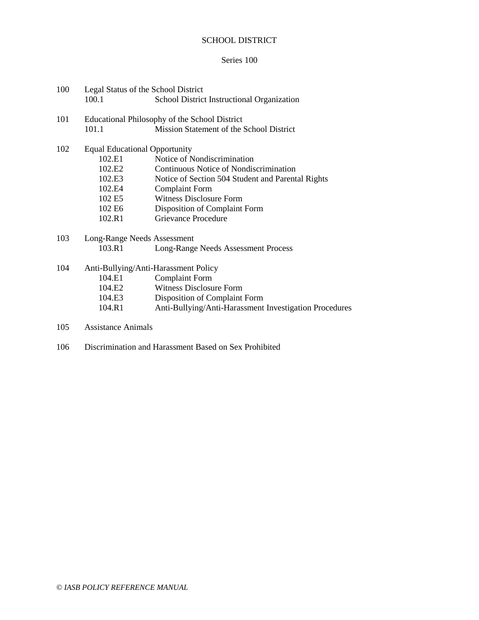## SCHOOL DISTRICT

## Series 100

| 100 |                           | Legal Status of the School District                    |
|-----|---------------------------|--------------------------------------------------------|
|     | 100.1                     | School District Instructional Organization             |
| 101 |                           | Educational Philosophy of the School District          |
|     | 101.1                     | Mission Statement of the School District               |
| 102 |                           | <b>Equal Educational Opportunity</b>                   |
|     | 102.E1                    | Notice of Nondiscrimination                            |
|     | 102.E2                    | Continuous Notice of Nondiscrimination                 |
|     | 102.E3                    | Notice of Section 504 Student and Parental Rights      |
|     | 102.E4                    | <b>Complaint Form</b>                                  |
|     | 102 E5                    | <b>Witness Disclosure Form</b>                         |
|     | 102 E6                    | Disposition of Complaint Form                          |
|     | 102.R1                    | Grievance Procedure                                    |
| 103 |                           | Long-Range Needs Assessment                            |
|     | 103.R1                    | Long-Range Needs Assessment Process                    |
| 104 |                           | Anti-Bullying/Anti-Harassment Policy                   |
|     | 104.E1                    | <b>Complaint Form</b>                                  |
|     | 104.E2                    | <b>Witness Disclosure Form</b>                         |
|     | 104.E3                    | Disposition of Complaint Form                          |
|     | 104.R1                    | Anti-Bullying/Anti-Harassment Investigation Procedures |
| 105 | <b>Assistance Animals</b> |                                                        |

106 Discrimination and Harassment Based on Sex Prohibited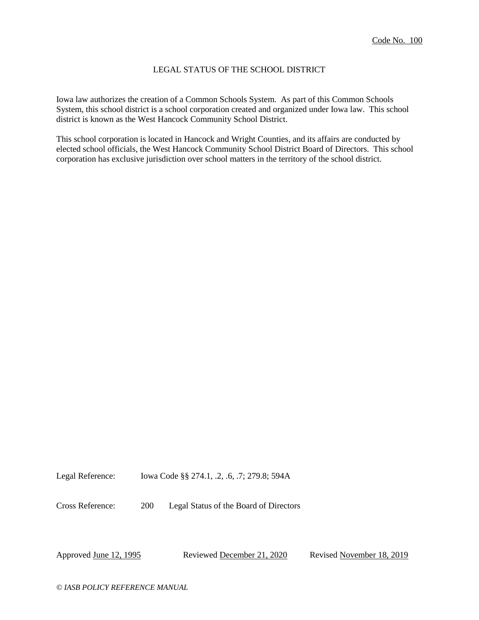### LEGAL STATUS OF THE SCHOOL DISTRICT

Iowa law authorizes the creation of a Common Schools System. As part of this Common Schools System, this school district is a school corporation created and organized under Iowa law. This school district is known as the West Hancock Community School District.

This school corporation is located in Hancock and Wright Counties, and its affairs are conducted by elected school officials, the West Hancock Community School District Board of Directors. This school corporation has exclusive jurisdiction over school matters in the territory of the school district.

Legal Reference: Iowa Code §§ 274.1, .2, .6, .7; 279.8; 594A

Cross Reference: 200 Legal Status of the Board of Directors

Approved June 12, 1995 Reviewed December 21, 2020 Revised November 18, 2019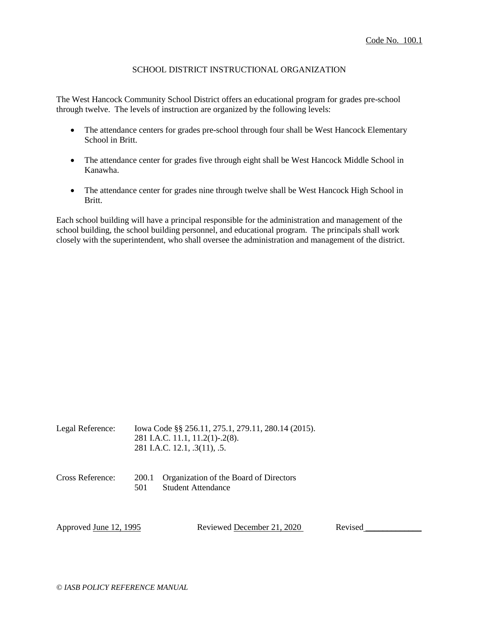### SCHOOL DISTRICT INSTRUCTIONAL ORGANIZATION

The West Hancock Community School District offers an educational program for grades pre-school through twelve. The levels of instruction are organized by the following levels:

- The attendance centers for grades pre-school through four shall be West Hancock Elementary School in Britt.
- The attendance center for grades five through eight shall be West Hancock Middle School in Kanawha.
- The attendance center for grades nine through twelve shall be West Hancock High School in Britt.

Each school building will have a principal responsible for the administration and management of the school building, the school building personnel, and educational program. The principals shall work closely with the superintendent, who shall oversee the administration and management of the district.

| Legal Reference:              |              | lowa Code §§ 256.11, 275.1, 279.11, 280.14 (2015).<br>281 I.A.C. 11.1, 11.2(1)-.2(8).<br>281 I.A.C. 12.1, .3(11), .5. |         |  |
|-------------------------------|--------------|-----------------------------------------------------------------------------------------------------------------------|---------|--|
| Cross Reference:              | 200.1<br>501 | Organization of the Board of Directors<br><b>Student Attendance</b>                                                   |         |  |
| Approved <u>June 12, 1995</u> |              | Reviewed December 21, 2020                                                                                            | Revised |  |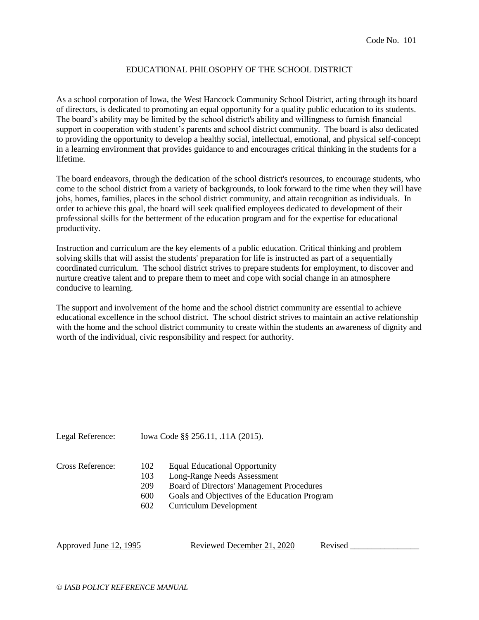### EDUCATIONAL PHILOSOPHY OF THE SCHOOL DISTRICT

As a school corporation of Iowa, the West Hancock Community School District, acting through its board of directors, is dedicated to promoting an equal opportunity for a quality public education to its students. The board's ability may be limited by the school district's ability and willingness to furnish financial support in cooperation with student's parents and school district community. The board is also dedicated to providing the opportunity to develop a healthy social, intellectual, emotional, and physical self-concept in a learning environment that provides guidance to and encourages critical thinking in the students for a lifetime.

The board endeavors, through the dedication of the school district's resources, to encourage students, who come to the school district from a variety of backgrounds, to look forward to the time when they will have jobs, homes, families, places in the school district community, and attain recognition as individuals. In order to achieve this goal, the board will seek qualified employees dedicated to development of their professional skills for the betterment of the education program and for the expertise for educational productivity.

Instruction and curriculum are the key elements of a public education. Critical thinking and problem solving skills that will assist the students' preparation for life is instructed as part of a sequentially coordinated curriculum. The school district strives to prepare students for employment, to discover and nurture creative talent and to prepare them to meet and cope with social change in an atmosphere conducive to learning.

The support and involvement of the home and the school district community are essential to achieve educational excellence in the school district. The school district strives to maintain an active relationship with the home and the school district community to create within the students an awareness of dignity and worth of the individual, civic responsibility and respect for authority.

Legal Reference: Iowa Code §§ 256.11, .11A (2015).

#### Cross Reference: 102 Equal Educational Opportunity

- 103 Long-Range Needs Assessment
- 209 Board of Directors' Management Procedures
- 600 Goals and Objectives of the Education Program
- 602 Curriculum Development

Approved <u>June 12, 1995</u> Reviewed <u>December 21, 2020</u> Revised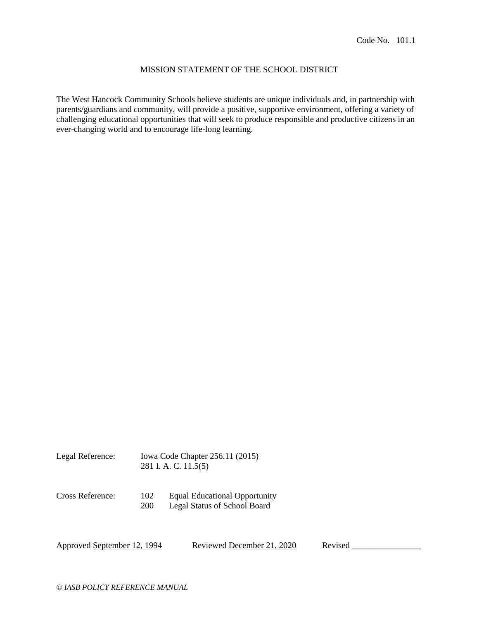## MISSION STATEMENT OF THE SCHOOL DISTRICT

The West Hancock Community Schools believe students are unique individuals and, in partnership with parents/guardians and community, will provide a positive, supportive environment, offering a variety of challenging educational opportunities that will seek to produce responsible and productive citizens in an ever-changing world and to encourage life-long learning.

| Legal Reference: | Iowa Code Chapter 256.11 (2015) |
|------------------|---------------------------------|
|                  | 281 I. A. C. 11.5(5)            |

Cross Reference: 102 Equal Educational Opportunity

200 Legal Status of School Board

Approved September 12, 1994 Reviewed December 21, 2020 Revised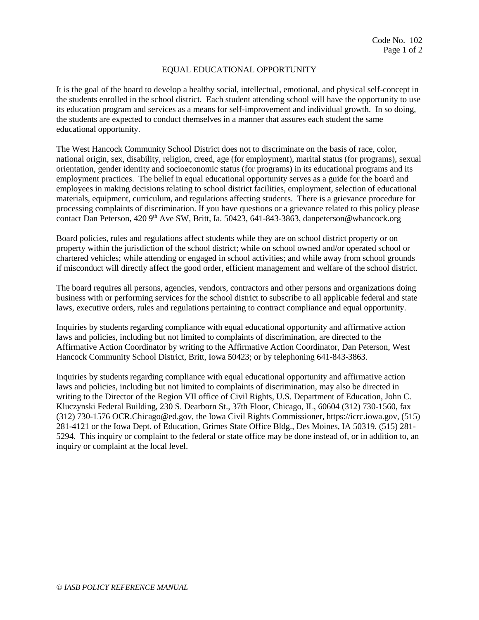## EQUAL EDUCATIONAL OPPORTUNITY

It is the goal of the board to develop a healthy social, intellectual, emotional, and physical self-concept in the students enrolled in the school district. Each student attending school will have the opportunity to use its education program and services as a means for self-improvement and individual growth. In so doing, the students are expected to conduct themselves in a manner that assures each student the same educational opportunity.

The West Hancock Community School District does not to discriminate on the basis of race, color, national origin, sex, disability, religion, creed, age (for employment), marital status (for programs), sexual orientation, gender identity and socioeconomic status (for programs) in its educational programs and its employment practices. The belief in equal educational opportunity serves as a guide for the board and employees in making decisions relating to school district facilities, employment, selection of educational materials, equipment, curriculum, and regulations affecting students. There is a grievance procedure for processing complaints of discrimination. If you have questions or a grievance related to this policy please contact Dan Peterson, 420 9<sup>th</sup> Ave SW, Britt, Ia. 50423, 641-843-3863, danpeterson@whancock.org

Board policies, rules and regulations affect students while they are on school district property or on property within the jurisdiction of the school district; while on school owned and/or operated school or chartered vehicles; while attending or engaged in school activities; and while away from school grounds if misconduct will directly affect the good order, efficient management and welfare of the school district.

The board requires all persons, agencies, vendors, contractors and other persons and organizations doing business with or performing services for the school district to subscribe to all applicable federal and state laws, executive orders, rules and regulations pertaining to contract compliance and equal opportunity.

Inquiries by students regarding compliance with equal educational opportunity and affirmative action laws and policies, including but not limited to complaints of discrimination, are directed to the Affirmative Action Coordinator by writing to the Affirmative Action Coordinator, Dan Peterson, West Hancock Community School District, Britt, Iowa 50423; or by telephoning 641-843-3863.

Inquiries by students regarding compliance with equal educational opportunity and affirmative action laws and policies, including but not limited to complaints of discrimination, may also be directed in writing to the Director of the Region VII office of Civil Rights, U.S. Department of Education, John C. Kluczynski Federal Building, 230 S. Dearborn St., 37th Floor, Chicago, IL, 60604 (312) 730-1560, fax (312) 730-1576 OCR.Chicago@ed.gov, the Iowa Civil Rights Commissioner, https://icrc.iowa.gov, (515) 281-4121 or the Iowa Dept. of Education, Grimes State Office Bldg., Des Moines, IA 50319. (515) 281- 5294. This inquiry or complaint to the federal or state office may be done instead of, or in addition to, an inquiry or complaint at the local level.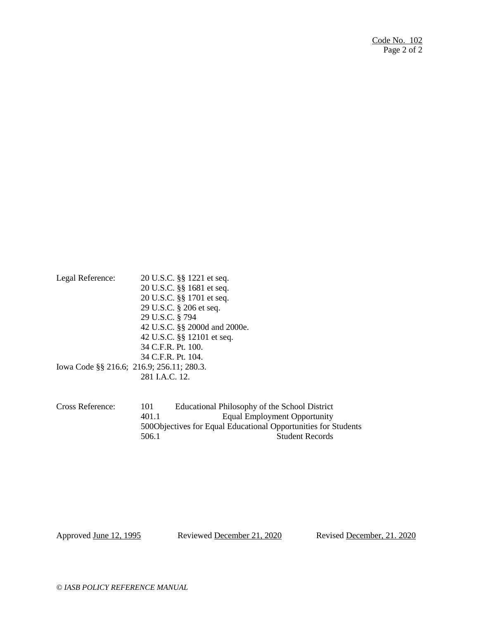| Legal Reference: | 20 U.S.C. §§ 1221 et seq.                 |
|------------------|-------------------------------------------|
|                  | 20 U.S.C. §§ 1681 et seq.                 |
|                  | 20 U.S.C. §§ 1701 et seq.                 |
|                  | 29 U.S.C. § 206 et seq.                   |
|                  | 29 U.S.C. § 794                           |
|                  | 42 U.S.C. §§ 2000d and 2000e.             |
|                  | 42 U.S.C. §§ 12101 et seq.                |
|                  | 34 C.F.R. Pt. 100.                        |
|                  | 34 C.F.R. Pt. 104.                        |
|                  | Iowa Code §§ 216.6; 216.9; 256.11; 280.3. |
|                  | 281 I.A.C. 12.                            |
|                  |                                           |

Cross Reference: 101 Educational Philosophy of the School District 401.1 Equal Employment Opportunity 500Objectives for Equal Educational Opportunities for Students<br>506.1 Student Records Student Records

Approved June 12, 1995 Reviewed December 21, 2020 Revised December, 21. 2020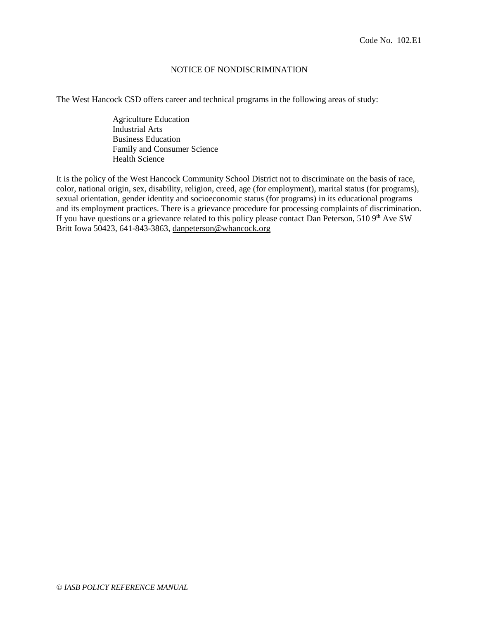### NOTICE OF NONDISCRIMINATION

The West Hancock CSD offers career and technical programs in the following areas of study:

Agriculture Education Industrial Arts Business Education Family and Consumer Science Health Science

It is the policy of the West Hancock Community School District not to discriminate on the basis of race, color, national origin, sex, disability, religion, creed, age (for employment), marital status (for programs), sexual orientation, gender identity and socioeconomic status (for programs) in its educational programs and its employment practices. There is a grievance procedure for processing complaints of discrimination. If you have questions or a grievance related to this policy please contact Dan Peterson, 510 9<sup>th</sup> Ave SW Britt Iowa 50423, 641-843-3863, [danpeterson@whancock.org](mailto:danpeterson@whancock.org)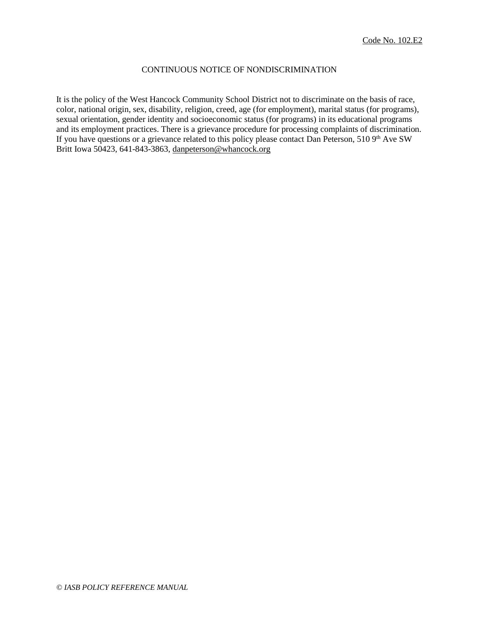# CONTINUOUS NOTICE OF NONDISCRIMINATION

It is the policy of the West Hancock Community School District not to discriminate on the basis of race, color, national origin, sex, disability, religion, creed, age (for employment), marital status (for programs), sexual orientation, gender identity and socioeconomic status (for programs) in its educational programs and its employment practices. There is a grievance procedure for processing complaints of discrimination. If you have questions or a grievance related to this policy please contact Dan Peterson, 510 9<sup>th</sup> Ave SW Britt Iowa 50423, 641-843-3863, [danpeterson@whancock.org](mailto:danpeterson@whancock.org)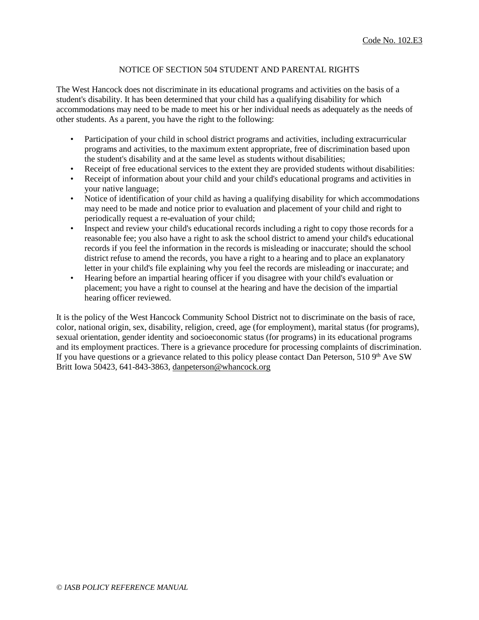## NOTICE OF SECTION 504 STUDENT AND PARENTAL RIGHTS

The West Hancock does not discriminate in its educational programs and activities on the basis of a student's disability. It has been determined that your child has a qualifying disability for which accommodations may need to be made to meet his or her individual needs as adequately as the needs of other students. As a parent, you have the right to the following:

- Participation of your child in school district programs and activities, including extracurricular programs and activities, to the maximum extent appropriate, free of discrimination based upon the student's disability and at the same level as students without disabilities;
- Receipt of free educational services to the extent they are provided students without disabilities:
- Receipt of information about your child and your child's educational programs and activities in your native language;
- Notice of identification of your child as having a qualifying disability for which accommodations may need to be made and notice prior to evaluation and placement of your child and right to periodically request a re-evaluation of your child;
- Inspect and review your child's educational records including a right to copy those records for a reasonable fee; you also have a right to ask the school district to amend your child's educational records if you feel the information in the records is misleading or inaccurate; should the school district refuse to amend the records, you have a right to a hearing and to place an explanatory letter in your child's file explaining why you feel the records are misleading or inaccurate; and
- Hearing before an impartial hearing officer if you disagree with your child's evaluation or placement; you have a right to counsel at the hearing and have the decision of the impartial hearing officer reviewed.

It is the policy of the West Hancock Community School District not to discriminate on the basis of race, color, national origin, sex, disability, religion, creed, age (for employment), marital status (for programs), sexual orientation, gender identity and socioeconomic status (for programs) in its educational programs and its employment practices. There is a grievance procedure for processing complaints of discrimination. If you have questions or a grievance related to this policy please contact Dan Peterson, 510 9th Ave SW Britt Iowa 50423, 641-843-3863, [danpeterson@whancock.org](mailto:danpeterson@whancock.org)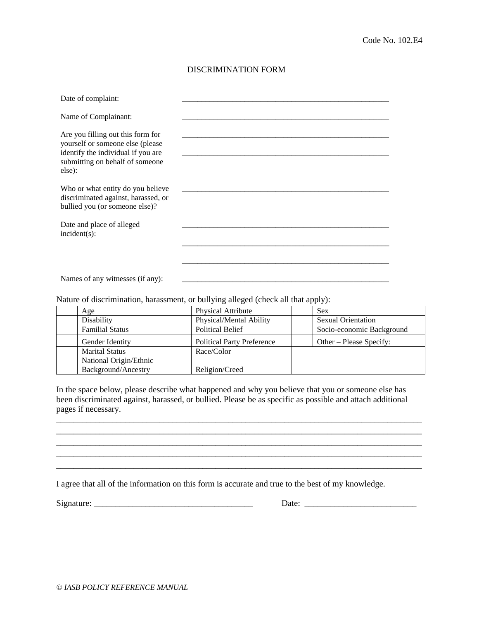## DISCRIMINATION FORM

| Date of complaint:                                                                                                                                       |  |
|----------------------------------------------------------------------------------------------------------------------------------------------------------|--|
| Name of Complainant:                                                                                                                                     |  |
| Are you filling out this form for<br>yourself or someone else (please<br>identify the individual if you are<br>submitting on behalf of someone<br>else): |  |
| Who or what entity do you believe<br>discriminated against, harassed, or<br>bullied you (or someone else)?                                               |  |
| Date and place of alleged<br>$incident(s)$ :                                                                                                             |  |
|                                                                                                                                                          |  |
| Names of any witnesses (if any):                                                                                                                         |  |

Nature of discrimination, harassment, or bullying alleged (check all that apply):

| Age                    | <b>Physical Attribute</b>         | <b>Sex</b>                |
|------------------------|-----------------------------------|---------------------------|
| Disability             | Physical/Mental Ability           | <b>Sexual Orientation</b> |
| <b>Familial Status</b> | <b>Political Belief</b>           | Socio-economic Background |
| Gender Identity        | <b>Political Party Preference</b> | Other – Please Specify:   |
| <b>Marital Status</b>  | Race/Color                        |                           |
| National Origin/Ethnic |                                   |                           |
| Background/Ancestry    | Religion/Creed                    |                           |

In the space below, please describe what happened and why you believe that you or someone else has been discriminated against, harassed, or bullied. Please be as specific as possible and attach additional pages if necessary.

\_\_\_\_\_\_\_\_\_\_\_\_\_\_\_\_\_\_\_\_\_\_\_\_\_\_\_\_\_\_\_\_\_\_\_\_\_\_\_\_\_\_\_\_\_\_\_\_\_\_\_\_\_\_\_\_\_\_\_\_\_\_\_\_\_\_\_\_\_\_\_\_\_\_\_\_\_\_\_\_\_\_\_\_\_ \_\_\_\_\_\_\_\_\_\_\_\_\_\_\_\_\_\_\_\_\_\_\_\_\_\_\_\_\_\_\_\_\_\_\_\_\_\_\_\_\_\_\_\_\_\_\_\_\_\_\_\_\_\_\_\_\_\_\_\_\_\_\_\_\_\_\_\_\_\_\_\_\_\_\_\_\_\_\_\_\_\_\_\_\_ \_\_\_\_\_\_\_\_\_\_\_\_\_\_\_\_\_\_\_\_\_\_\_\_\_\_\_\_\_\_\_\_\_\_\_\_\_\_\_\_\_\_\_\_\_\_\_\_\_\_\_\_\_\_\_\_\_\_\_\_\_\_\_\_\_\_\_\_\_\_\_\_\_\_\_\_\_\_\_\_\_\_\_\_\_ \_\_\_\_\_\_\_\_\_\_\_\_\_\_\_\_\_\_\_\_\_\_\_\_\_\_\_\_\_\_\_\_\_\_\_\_\_\_\_\_\_\_\_\_\_\_\_\_\_\_\_\_\_\_\_\_\_\_\_\_\_\_\_\_\_\_\_\_\_\_\_\_\_\_\_\_\_\_\_\_\_\_\_\_\_ \_\_\_\_\_\_\_\_\_\_\_\_\_\_\_\_\_\_\_\_\_\_\_\_\_\_\_\_\_\_\_\_\_\_\_\_\_\_\_\_\_\_\_\_\_\_\_\_\_\_\_\_\_\_\_\_\_\_\_\_\_\_\_\_\_\_\_\_\_\_\_\_\_\_\_\_\_\_\_\_\_\_\_\_\_

I agree that all of the information on this form is accurate and true to the best of my knowledge.

| Signature: |  |
|------------|--|
|            |  |

Aimet and the set of the set of the set of the set of the set of the set of the set of the set of the set of t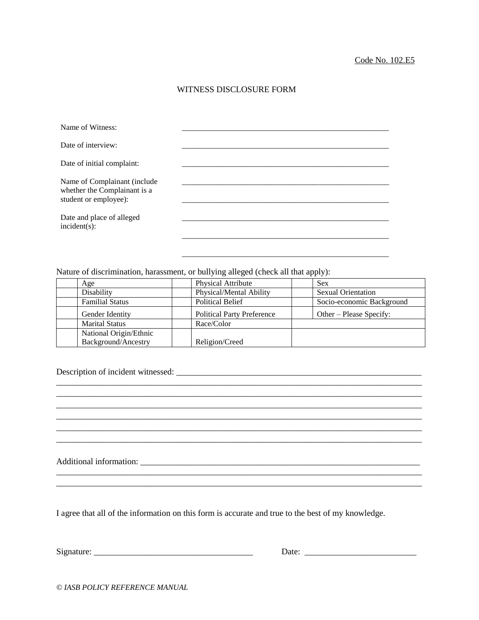## WITNESS DISCLOSURE FORM

| Name of Witness:                                                                      |  |
|---------------------------------------------------------------------------------------|--|
| Date of interview:                                                                    |  |
| Date of initial complaint:                                                            |  |
| Name of Complainant (include<br>whether the Complainant is a<br>student or employee): |  |
| Date and place of alleged<br>$incident(s)$ :                                          |  |
|                                                                                       |  |

Nature of discrimination, harassment, or bullying alleged (check all that apply):

| Age                    | <b>Physical Attribute</b>         | <b>Sex</b>                |
|------------------------|-----------------------------------|---------------------------|
| Disability             | Physical/Mental Ability           | <b>Sexual Orientation</b> |
| <b>Familial Status</b> | <b>Political Belief</b>           | Socio-economic Background |
| Gender Identity        | <b>Political Party Preference</b> | Other – Please Specify:   |
| <b>Marital Status</b>  | Race/Color                        |                           |
| National Origin/Ethnic |                                   |                           |
| Background/Ancestry    | Religion/Creed                    |                           |

\_\_\_\_\_\_\_\_\_\_\_\_\_\_\_\_\_\_\_\_\_\_\_\_\_\_\_\_\_\_\_\_\_\_\_\_\_\_\_\_\_\_\_\_\_\_\_\_\_\_\_\_\_\_\_\_\_\_\_\_\_\_\_\_\_\_\_\_\_\_\_\_\_\_\_\_\_\_\_\_\_\_\_\_\_ \_\_\_\_\_\_\_\_\_\_\_\_\_\_\_\_\_\_\_\_\_\_\_\_\_\_\_\_\_\_\_\_\_\_\_\_\_\_\_\_\_\_\_\_\_\_\_\_\_\_\_\_\_\_\_\_\_\_\_\_\_\_\_\_\_\_\_\_\_\_\_\_\_\_\_\_\_\_\_\_\_\_\_\_\_ \_\_\_\_\_\_\_\_\_\_\_\_\_\_\_\_\_\_\_\_\_\_\_\_\_\_\_\_\_\_\_\_\_\_\_\_\_\_\_\_\_\_\_\_\_\_\_\_\_\_\_\_\_\_\_\_\_\_\_\_\_\_\_\_\_\_\_\_\_\_\_\_\_\_\_\_\_\_\_\_\_\_\_\_\_ \_\_\_\_\_\_\_\_\_\_\_\_\_\_\_\_\_\_\_\_\_\_\_\_\_\_\_\_\_\_\_\_\_\_\_\_\_\_\_\_\_\_\_\_\_\_\_\_\_\_\_\_\_\_\_\_\_\_\_\_\_\_\_\_\_\_\_\_\_\_\_\_\_\_\_\_\_\_\_\_\_\_\_\_\_ \_\_\_\_\_\_\_\_\_\_\_\_\_\_\_\_\_\_\_\_\_\_\_\_\_\_\_\_\_\_\_\_\_\_\_\_\_\_\_\_\_\_\_\_\_\_\_\_\_\_\_\_\_\_\_\_\_\_\_\_\_\_\_\_\_\_\_\_\_\_\_\_\_\_\_\_\_\_\_\_\_\_\_\_\_ \_\_\_\_\_\_\_\_\_\_\_\_\_\_\_\_\_\_\_\_\_\_\_\_\_\_\_\_\_\_\_\_\_\_\_\_\_\_\_\_\_\_\_\_\_\_\_\_\_\_\_\_\_\_\_\_\_\_\_\_\_\_\_\_\_\_\_\_\_\_\_\_\_\_\_\_\_\_\_\_\_\_\_\_\_

\_\_\_\_\_\_\_\_\_\_\_\_\_\_\_\_\_\_\_\_\_\_\_\_\_\_\_\_\_\_\_\_\_\_\_\_\_\_\_\_\_\_\_\_\_\_\_\_\_\_\_\_\_\_\_\_\_\_\_\_\_\_\_\_\_\_\_\_\_\_\_\_\_\_\_\_\_\_\_\_\_\_\_\_\_

\_\_\_\_\_\_\_\_\_\_\_\_\_\_\_\_\_\_\_\_\_\_\_\_\_\_\_\_\_\_\_\_\_\_\_\_\_\_\_\_\_\_\_\_\_\_\_\_\_\_\_\_\_

## Description of incident witnessed: \_\_\_\_\_\_\_\_\_\_\_\_\_\_\_\_\_\_\_\_\_\_\_\_\_\_\_\_\_\_\_\_\_\_\_\_\_\_\_\_\_\_\_\_\_\_\_\_\_\_\_\_\_\_\_\_\_

Additional information: \_\_\_\_\_\_\_\_\_\_\_\_\_\_\_\_\_\_\_\_\_\_\_\_\_\_\_\_\_\_\_\_\_\_\_\_\_\_\_\_\_\_\_\_\_\_\_\_\_\_\_\_\_\_\_\_\_\_\_\_\_\_\_\_\_

I agree that all of the information on this form is accurate and true to the best of my knowledge.

Signature: \_\_\_\_\_\_\_\_\_\_\_\_\_\_\_\_\_\_\_\_\_\_\_\_\_\_\_\_\_\_\_\_\_\_\_\_\_ Date: \_\_\_\_\_\_\_\_\_\_\_\_\_\_\_\_\_\_\_\_\_\_\_\_\_\_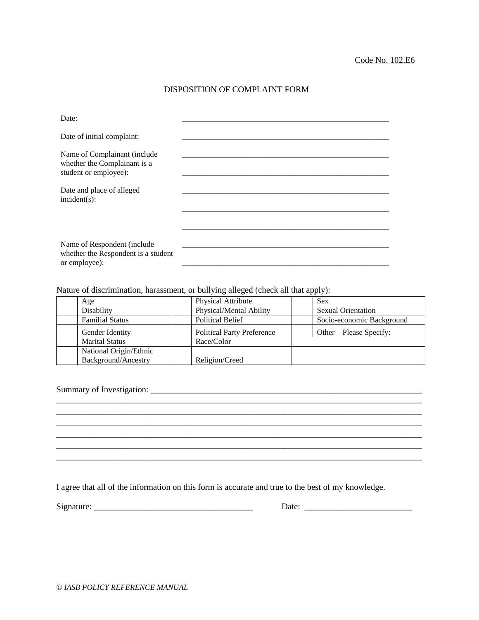## DISPOSITION OF COMPLAINT FORM

| Date:                                                                                 |  |
|---------------------------------------------------------------------------------------|--|
| Date of initial complaint:                                                            |  |
| Name of Complainant (include<br>whether the Complainant is a<br>student or employee): |  |
| Date and place of alleged<br>$incident(s)$ :                                          |  |
|                                                                                       |  |
| Name of Respondent (include<br>whether the Respondent is a student<br>or employee):   |  |

Nature of discrimination, harassment, or bullying alleged (check all that apply):

| Age                    | <b>Physical Attribute</b>         | <b>Sex</b>                |
|------------------------|-----------------------------------|---------------------------|
| Disability             | Physical/Mental Ability           | <b>Sexual Orientation</b> |
| <b>Familial Status</b> | <b>Political Belief</b>           | Socio-economic Background |
| Gender Identity        | <b>Political Party Preference</b> | Other – Please Specify:   |
| <b>Marital Status</b>  | Race/Color                        |                           |
| National Origin/Ethnic |                                   |                           |
| Background/Ancestry    | Religion/Creed                    |                           |

\_\_\_\_\_\_\_\_\_\_\_\_\_\_\_\_\_\_\_\_\_\_\_\_\_\_\_\_\_\_\_\_\_\_\_\_\_\_\_\_\_\_\_\_\_\_\_\_\_\_\_\_\_\_\_\_\_\_\_\_\_\_\_\_\_\_\_\_\_\_\_\_\_\_\_\_\_\_\_\_\_\_\_\_\_ \_\_\_\_\_\_\_\_\_\_\_\_\_\_\_\_\_\_\_\_\_\_\_\_\_\_\_\_\_\_\_\_\_\_\_\_\_\_\_\_\_\_\_\_\_\_\_\_\_\_\_\_\_\_\_\_\_\_\_\_\_\_\_\_\_\_\_\_\_\_\_\_\_\_\_\_\_\_\_\_\_\_\_\_\_ \_\_\_\_\_\_\_\_\_\_\_\_\_\_\_\_\_\_\_\_\_\_\_\_\_\_\_\_\_\_\_\_\_\_\_\_\_\_\_\_\_\_\_\_\_\_\_\_\_\_\_\_\_\_\_\_\_\_\_\_\_\_\_\_\_\_\_\_\_\_\_\_\_\_\_\_\_\_\_\_\_\_\_\_\_ \_\_\_\_\_\_\_\_\_\_\_\_\_\_\_\_\_\_\_\_\_\_\_\_\_\_\_\_\_\_\_\_\_\_\_\_\_\_\_\_\_\_\_\_\_\_\_\_\_\_\_\_\_\_\_\_\_\_\_\_\_\_\_\_\_\_\_\_\_\_\_\_\_\_\_\_\_\_\_\_\_\_\_\_\_ \_\_\_\_\_\_\_\_\_\_\_\_\_\_\_\_\_\_\_\_\_\_\_\_\_\_\_\_\_\_\_\_\_\_\_\_\_\_\_\_\_\_\_\_\_\_\_\_\_\_\_\_\_\_\_\_\_\_\_\_\_\_\_\_\_\_\_\_\_\_\_\_\_\_\_\_\_\_\_\_\_\_\_\_\_

\_\_\_\_\_\_\_\_\_\_\_\_\_\_\_\_\_\_\_\_\_\_\_\_\_\_\_\_\_\_\_\_\_\_\_\_\_\_\_\_\_\_\_\_\_\_\_\_\_\_\_\_\_\_\_\_\_\_\_\_\_\_\_\_\_\_\_\_\_\_\_\_\_\_\_\_\_\_\_\_\_\_\_\_\_

Summary of Investigation: \_\_\_\_\_\_\_\_\_\_\_\_\_\_\_\_\_\_\_\_\_\_\_\_\_\_\_\_\_\_\_\_\_\_\_\_\_\_\_\_\_\_\_\_\_\_\_\_\_\_\_\_\_\_\_\_\_\_\_\_\_\_\_

I agree that all of the information on this form is accurate and true to the best of my knowledge.

| Signature: |
|------------|
|------------|

 $\qquad \qquad \text{Date:} \qquad \qquad \qquad \qquad \text{Date:}$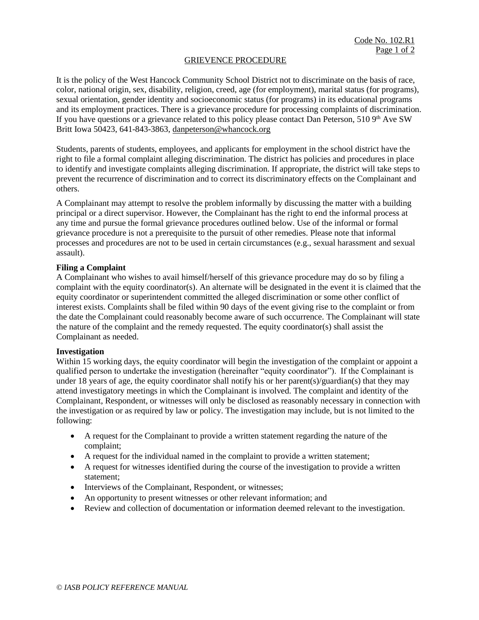### GRIEVENCE PROCEDURE

It is the policy of the West Hancock Community School District not to discriminate on the basis of race, color, national origin, sex, disability, religion, creed, age (for employment), marital status (for programs), sexual orientation, gender identity and socioeconomic status (for programs) in its educational programs and its employment practices. There is a grievance procedure for processing complaints of discrimination. If you have questions or a grievance related to this policy please contact Dan Peterson, 510  $9<sup>th</sup>$  Ave SW Britt Iowa 50423, 641-843-3863, [danpeterson@whancock.org](mailto:danpeterson@whancock.org)

Students, parents of students, employees, and applicants for employment in the school district have the right to file a formal complaint alleging discrimination. The district has policies and procedures in place to identify and investigate complaints alleging discrimination. If appropriate, the district will take steps to prevent the recurrence of discrimination and to correct its discriminatory effects on the Complainant and others.

A Complainant may attempt to resolve the problem informally by discussing the matter with a building principal or a direct supervisor. However, the Complainant has the right to end the informal process at any time and pursue the formal grievance procedures outlined below. Use of the informal or formal grievance procedure is not a prerequisite to the pursuit of other remedies. Please note that informal processes and procedures are not to be used in certain circumstances (e.g., sexual harassment and sexual assault).

### **Filing a Complaint**

A Complainant who wishes to avail himself/herself of this grievance procedure may do so by filing a complaint with the equity coordinator(s). An alternate will be designated in the event it is claimed that the equity coordinator or superintendent committed the alleged discrimination or some other conflict of interest exists. Complaints shall be filed within 90 days of the event giving rise to the complaint or from the date the Complainant could reasonably become aware of such occurrence*.* The Complainant will state the nature of the complaint and the remedy requested. The equity coordinator(s) shall assist the Complainant as needed.

#### **Investigation**

Within 15 working days, the equity coordinator will begin the investigation of the complaint or appoint a qualified person to undertake the investigation (hereinafter "equity coordinator"). If the Complainant is under 18 years of age, the equity coordinator shall notify his or her parent(s)/guardian(s) that they may attend investigatory meetings in which the Complainant is involved. The complaint and identity of the Complainant, Respondent, or witnesses will only be disclosed as reasonably necessary in connection with the investigation or as required by law or policy. The investigation may include, but is not limited to the following:

- A request for the Complainant to provide a written statement regarding the nature of the complaint;
- A request for the individual named in the complaint to provide a written statement;
- A request for witnesses identified during the course of the investigation to provide a written statement;
- Interviews of the Complainant, Respondent, or witnesses;
- An opportunity to present witnesses or other relevant information; and
- Review and collection of documentation or information deemed relevant to the investigation.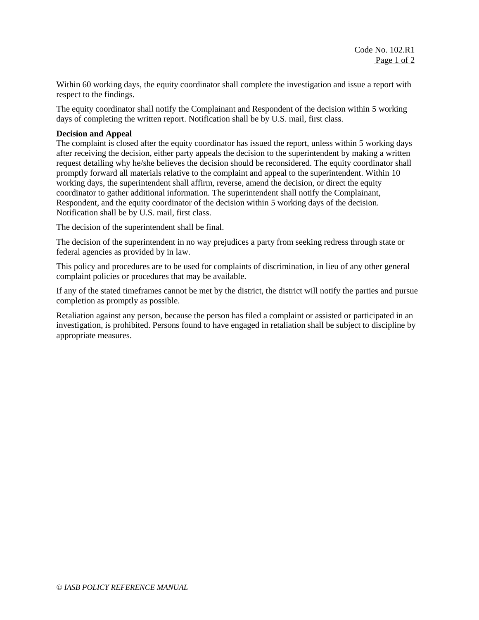Within 60 working days, the equity coordinator shall complete the investigation and issue a report with respect to the findings.

The equity coordinator shall notify the Complainant and Respondent of the decision within 5 working days of completing the written report. Notification shall be by U.S. mail, first class.

### **Decision and Appeal**

The complaint is closed after the equity coordinator has issued the report, unless within 5 working days after receiving the decision, either party appeals the decision to the superintendent by making a written request detailing why he/she believes the decision should be reconsidered. The equity coordinator shall promptly forward all materials relative to the complaint and appeal to the superintendent. Within 10 working days, the superintendent shall affirm, reverse, amend the decision, or direct the equity coordinator to gather additional information. The superintendent shall notify the Complainant, Respondent, and the equity coordinator of the decision within 5 working days of the decision. Notification shall be by U.S. mail, first class.

The decision of the superintendent shall be final.

The decision of the superintendent in no way prejudices a party from seeking redress through state or federal agencies as provided by in law.

This policy and procedures are to be used for complaints of discrimination, in lieu of any other general complaint policies or procedures that may be available.

If any of the stated timeframes cannot be met by the district, the district will notify the parties and pursue completion as promptly as possible.

Retaliation against any person, because the person has filed a complaint or assisted or participated in an investigation, is prohibited. Persons found to have engaged in retaliation shall be subject to discipline by appropriate measures.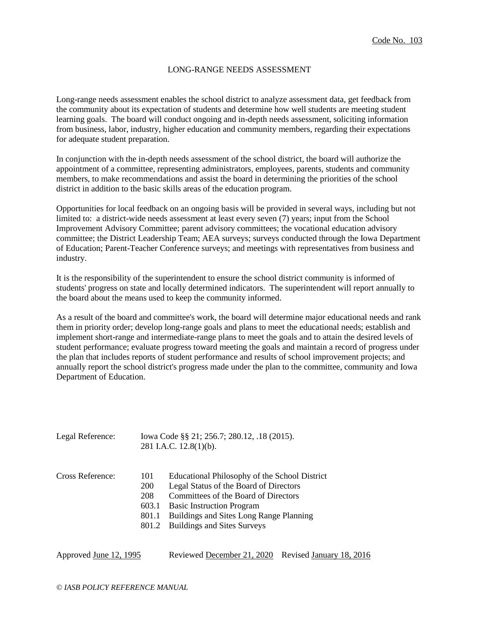### LONG-RANGE NEEDS ASSESSMENT

Long-range needs assessment enables the school district to analyze assessment data, get feedback from the community about its expectation of students and determine how well students are meeting student learning goals. The board will conduct ongoing and in-depth needs assessment, soliciting information from business, labor, industry, higher education and community members, regarding their expectations for adequate student preparation.

In conjunction with the in-depth needs assessment of the school district, the board will authorize the appointment of a committee, representing administrators, employees, parents, students and community members, to make recommendations and assist the board in determining the priorities of the school district in addition to the basic skills areas of the education program.

Opportunities for local feedback on an ongoing basis will be provided in several ways, including but not limited to: a district-wide needs assessment at least every seven (7) years; input from the School Improvement Advisory Committee; parent advisory committees; the vocational education advisory committee; the District Leadership Team; AEA surveys; surveys conducted through the Iowa Department of Education; Parent-Teacher Conference surveys; and meetings with representatives from business and industry.

It is the responsibility of the superintendent to ensure the school district community is informed of students' progress on state and locally determined indicators. The superintendent will report annually to the board about the means used to keep the community informed.

As a result of the board and committee's work, the board will determine major educational needs and rank them in priority order; develop long-range goals and plans to meet the educational needs; establish and implement short-range and intermediate-range plans to meet the goals and to attain the desired levels of student performance; evaluate progress toward meeting the goals and maintain a record of progress under the plan that includes reports of student performance and results of school improvement projects; and annually report the school district's progress made under the plan to the committee, community and Iowa Department of Education.

| Legal Reference: | Iowa Code §§ 21; 256.7; 280.12, .18 (2015). |
|------------------|---------------------------------------------|
|                  | 281 I.A.C. $12.8(1)(b)$ .                   |

| Cross Reference: | 101 | Educational Philosophy of the School District |
|------------------|-----|-----------------------------------------------|
|------------------|-----|-----------------------------------------------|

- 200 Legal Status of the Board of Directors
- 208 Committees of the Board of Directors
- 603.1 Basic Instruction Program
- 801.1 Buildings and Sites Long Range Planning
- 801.2 Buildings and Sites Surveys

| Approved June 12, 1995 | Reviewed December 21, 2020 Revised January 18, 2016 |  |  |
|------------------------|-----------------------------------------------------|--|--|
|------------------------|-----------------------------------------------------|--|--|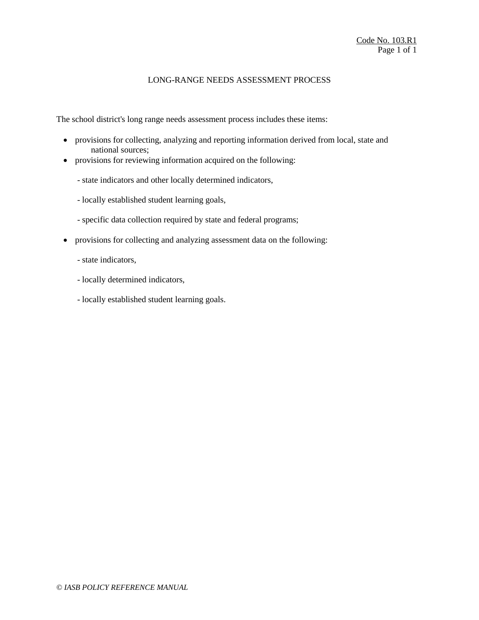## LONG-RANGE NEEDS ASSESSMENT PROCESS

The school district's long range needs assessment process includes these items:

- provisions for collecting, analyzing and reporting information derived from local, state and national sources;
- provisions for reviewing information acquired on the following:
	- state indicators and other locally determined indicators,
	- locally established student learning goals,
	- specific data collection required by state and federal programs;
- provisions for collecting and analyzing assessment data on the following:
	- state indicators,
	- locally determined indicators,
	- locally established student learning goals.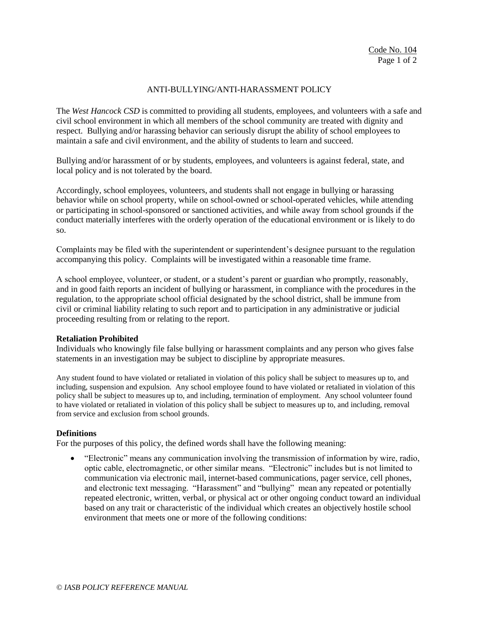## ANTI-BULLYING/ANTI-HARASSMENT POLICY

The *West Hancock CSD* is committed to providing all students, employees, and volunteers with a safe and civil school environment in which all members of the school community are treated with dignity and respect. Bullying and/or harassing behavior can seriously disrupt the ability of school employees to maintain a safe and civil environment, and the ability of students to learn and succeed.

Bullying and/or harassment of or by students, employees, and volunteers is against federal, state, and local policy and is not tolerated by the board.

Accordingly, school employees, volunteers, and students shall not engage in bullying or harassing behavior while on school property, while on school-owned or school-operated vehicles, while attending or participating in school-sponsored or sanctioned activities, and while away from school grounds if the conduct materially interferes with the orderly operation of the educational environment or is likely to do so.

Complaints may be filed with the superintendent or superintendent's designee pursuant to the regulation accompanying this policy. Complaints will be investigated within a reasonable time frame.

A school employee, volunteer, or student, or a student's parent or guardian who promptly, reasonably, and in good faith reports an incident of bullying or harassment, in compliance with the procedures in the regulation, to the appropriate school official designated by the school district, shall be immune from civil or criminal liability relating to such report and to participation in any administrative or judicial proceeding resulting from or relating to the report.

#### **Retaliation Prohibited**

Individuals who knowingly file false bullying or harassment complaints and any person who gives false statements in an investigation may be subject to discipline by appropriate measures.

Any student found to have violated or retaliated in violation of this policy shall be subject to measures up to, and including, suspension and expulsion. Any school employee found to have violated or retaliated in violation of this policy shall be subject to measures up to, and including, termination of employment. Any school volunteer found to have violated or retaliated in violation of this policy shall be subject to measures up to, and including, removal from service and exclusion from school grounds.

#### **Definitions**

For the purposes of this policy, the defined words shall have the following meaning:

 "Electronic" means any communication involving the transmission of information by wire, radio, optic cable, electromagnetic, or other similar means. "Electronic" includes but is not limited to communication via electronic mail, internet-based communications, pager service, cell phones, and electronic text messaging. "Harassment" and "bullying" mean any repeated or potentially repeated electronic, written, verbal, or physical act or other ongoing conduct toward an individual based on any trait or characteristic of the individual which creates an objectively hostile school environment that meets one or more of the following conditions: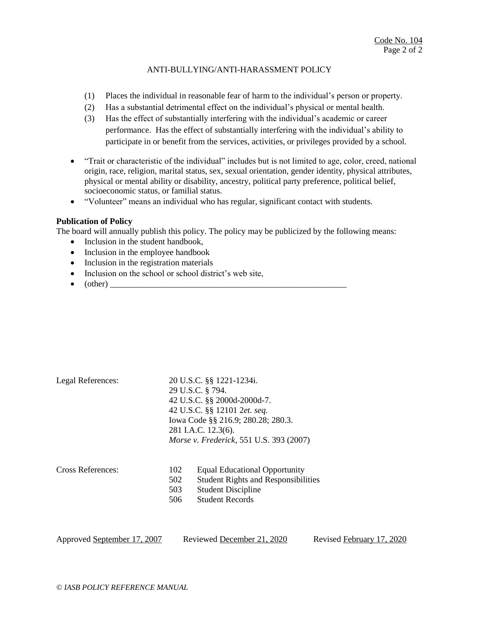### ANTI-BULLYING/ANTI-HARASSMENT POLICY

- (1) Places the individual in reasonable fear of harm to the individual's person or property.
- (2) Has a substantial detrimental effect on the individual's physical or mental health.
- (3) Has the effect of substantially interfering with the individual's academic or career performance. Has the effect of substantially interfering with the individual's ability to participate in or benefit from the services, activities, or privileges provided by a school.
- "Trait or characteristic of the individual" includes but is not limited to age, color, creed, national origin, race, religion, marital status, sex, sexual orientation, gender identity, physical attributes, physical or mental ability or disability, ancestry, political party preference, political belief, socioeconomic status, or familial status.
- "Volunteer" means an individual who has regular, significant contact with students.

### **Publication of Policy**

The board will annually publish this policy. The policy may be publicized by the following means:

- Inclusion in the student handbook,
- Inclusion in the employee handbook
- Inclusion in the registration materials
- Inclusion on the school or school district's web site,
- $\bullet$  (other)

| Legal References:           | 20 U.S.C. §§ 1221-1234i. |                                            |                           |  |
|-----------------------------|--------------------------|--------------------------------------------|---------------------------|--|
|                             | 29 U.S.C. § 794.         |                                            |                           |  |
|                             |                          | 42 U.S.C. §§ 2000d-2000d-7.                |                           |  |
|                             |                          | 42 U.S.C. §§ 12101 2et. seq.               |                           |  |
|                             |                          | Iowa Code §§ 216.9; 280.28; 280.3.         |                           |  |
|                             |                          | 281 I.A.C. 12.3(6).                        |                           |  |
|                             |                          | Morse v. Frederick, 551 U.S. 393 (2007)    |                           |  |
|                             |                          |                                            |                           |  |
|                             |                          |                                            |                           |  |
| Cross References:           | 102                      | <b>Equal Educational Opportunity</b>       |                           |  |
|                             | 502                      | <b>Student Rights and Responsibilities</b> |                           |  |
|                             | 503                      | <b>Student Discipline</b>                  |                           |  |
|                             | 506                      | <b>Student Records</b>                     |                           |  |
|                             |                          |                                            |                           |  |
|                             |                          |                                            |                           |  |
|                             |                          |                                            |                           |  |
| Approved September 17, 2007 |                          | Reviewed December 21, 2020                 | Revised February 17, 2020 |  |
|                             |                          |                                            |                           |  |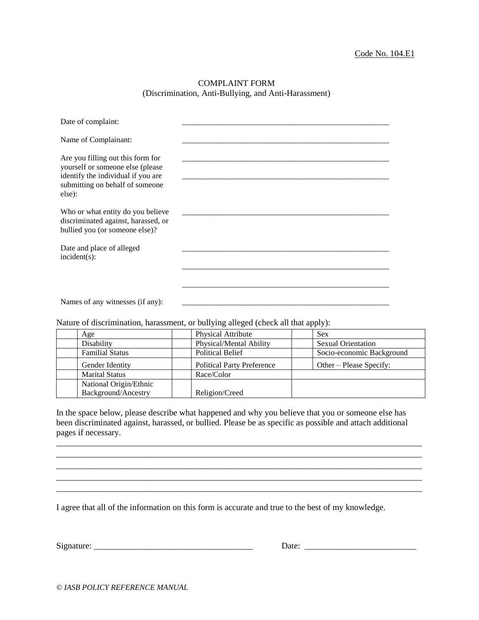### COMPLAINT FORM (Discrimination, Anti-Bullying, and Anti-Harassment)

| Date of complaint:                                                                                                                                       |  |
|----------------------------------------------------------------------------------------------------------------------------------------------------------|--|
| Name of Complainant:                                                                                                                                     |  |
| Are you filling out this form for<br>yourself or someone else (please<br>identify the individual if you are<br>submitting on behalf of someone<br>else): |  |
| Who or what entity do you believe<br>discriminated against, harassed, or<br>bullied you (or someone else)?                                               |  |
| Date and place of alleged<br>$incident(s)$ :                                                                                                             |  |
|                                                                                                                                                          |  |
| Names of any witnesses (if any):                                                                                                                         |  |

Nature of discrimination, harassment, or bullying alleged (check all that apply):

| Age                    | <b>Physical Attribute</b>         | Sex                       |
|------------------------|-----------------------------------|---------------------------|
| Disability             | Physical/Mental Ability           | <b>Sexual Orientation</b> |
| <b>Familial Status</b> | <b>Political Belief</b>           | Socio-economic Background |
| Gender Identity        | <b>Political Party Preference</b> | Other – Please Specify:   |
| <b>Marital Status</b>  | Race/Color                        |                           |
| National Origin/Ethnic |                                   |                           |
| Background/Ancestry    | Religion/Creed                    |                           |

In the space below, please describe what happened and why you believe that you or someone else has been discriminated against, harassed, or bullied. Please be as specific as possible and attach additional pages if necessary.

\_\_\_\_\_\_\_\_\_\_\_\_\_\_\_\_\_\_\_\_\_\_\_\_\_\_\_\_\_\_\_\_\_\_\_\_\_\_\_\_\_\_\_\_\_\_\_\_\_\_\_\_\_\_\_\_\_\_\_\_\_\_\_\_\_\_\_\_\_\_\_\_\_\_\_\_\_\_\_\_\_\_\_\_\_ \_\_\_\_\_\_\_\_\_\_\_\_\_\_\_\_\_\_\_\_\_\_\_\_\_\_\_\_\_\_\_\_\_\_\_\_\_\_\_\_\_\_\_\_\_\_\_\_\_\_\_\_\_\_\_\_\_\_\_\_\_\_\_\_\_\_\_\_\_\_\_\_\_\_\_\_\_\_\_\_\_\_\_\_\_ \_\_\_\_\_\_\_\_\_\_\_\_\_\_\_\_\_\_\_\_\_\_\_\_\_\_\_\_\_\_\_\_\_\_\_\_\_\_\_\_\_\_\_\_\_\_\_\_\_\_\_\_\_\_\_\_\_\_\_\_\_\_\_\_\_\_\_\_\_\_\_\_\_\_\_\_\_\_\_\_\_\_\_\_\_ \_\_\_\_\_\_\_\_\_\_\_\_\_\_\_\_\_\_\_\_\_\_\_\_\_\_\_\_\_\_\_\_\_\_\_\_\_\_\_\_\_\_\_\_\_\_\_\_\_\_\_\_\_\_\_\_\_\_\_\_\_\_\_\_\_\_\_\_\_\_\_\_\_\_\_\_\_\_\_\_\_\_\_\_\_ \_\_\_\_\_\_\_\_\_\_\_\_\_\_\_\_\_\_\_\_\_\_\_\_\_\_\_\_\_\_\_\_\_\_\_\_\_\_\_\_\_\_\_\_\_\_\_\_\_\_\_\_\_\_\_\_\_\_\_\_\_\_\_\_\_\_\_\_\_\_\_\_\_\_\_\_\_\_\_\_\_\_\_\_\_

I agree that all of the information on this form is accurate and true to the best of my knowledge.

Signature: \_\_\_\_\_\_\_\_\_\_\_\_\_\_\_\_\_\_\_\_\_\_\_\_\_\_\_\_\_\_\_\_\_\_\_\_\_ Date: \_\_\_\_\_\_\_\_\_\_\_\_\_\_\_\_\_\_\_\_\_\_\_\_\_\_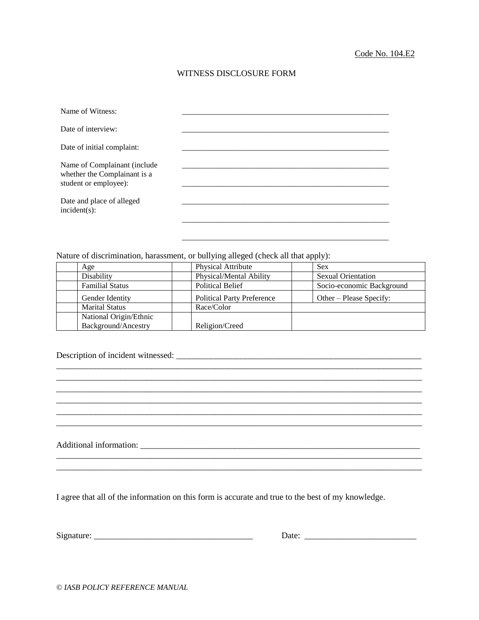## WITNESS DISCLOSURE FORM

| Name of Witness:                                                                      |  |
|---------------------------------------------------------------------------------------|--|
| Date of interview:                                                                    |  |
| Date of initial complaint:                                                            |  |
| Name of Complainant (include<br>whether the Complainant is a<br>student or employee): |  |
| Date and place of alleged<br>$incident(s)$ :                                          |  |
|                                                                                       |  |

Nature of discrimination, harassment, or bullying alleged (check all that apply):

| Age                    | <b>Physical Attribute</b>         | <b>Sex</b>                |
|------------------------|-----------------------------------|---------------------------|
| Disability             | Physical/Mental Ability           | <b>Sexual Orientation</b> |
| <b>Familial Status</b> | <b>Political Belief</b>           | Socio-economic Background |
| Gender Identity        | <b>Political Party Preference</b> | Other – Please Specify:   |
| <b>Marital Status</b>  | Race/Color                        |                           |
| National Origin/Ethnic |                                   |                           |
| Background/Ancestry    | Religion/Creed                    |                           |

\_\_\_\_\_\_\_\_\_\_\_\_\_\_\_\_\_\_\_\_\_\_\_\_\_\_\_\_\_\_\_\_\_\_\_\_\_\_\_\_\_\_\_\_\_\_\_\_\_\_\_\_\_\_\_\_\_\_\_\_\_\_\_\_\_\_\_\_\_\_\_\_\_\_\_\_\_\_\_\_\_\_\_\_\_ \_\_\_\_\_\_\_\_\_\_\_\_\_\_\_\_\_\_\_\_\_\_\_\_\_\_\_\_\_\_\_\_\_\_\_\_\_\_\_\_\_\_\_\_\_\_\_\_\_\_\_\_\_\_\_\_\_\_\_\_\_\_\_\_\_\_\_\_\_\_\_\_\_\_\_\_\_\_\_\_\_\_\_\_\_ \_\_\_\_\_\_\_\_\_\_\_\_\_\_\_\_\_\_\_\_\_\_\_\_\_\_\_\_\_\_\_\_\_\_\_\_\_\_\_\_\_\_\_\_\_\_\_\_\_\_\_\_\_\_\_\_\_\_\_\_\_\_\_\_\_\_\_\_\_\_\_\_\_\_\_\_\_\_\_\_\_\_\_\_\_ \_\_\_\_\_\_\_\_\_\_\_\_\_\_\_\_\_\_\_\_\_\_\_\_\_\_\_\_\_\_\_\_\_\_\_\_\_\_\_\_\_\_\_\_\_\_\_\_\_\_\_\_\_\_\_\_\_\_\_\_\_\_\_\_\_\_\_\_\_\_\_\_\_\_\_\_\_\_\_\_\_\_\_\_\_ \_\_\_\_\_\_\_\_\_\_\_\_\_\_\_\_\_\_\_\_\_\_\_\_\_\_\_\_\_\_\_\_\_\_\_\_\_\_\_\_\_\_\_\_\_\_\_\_\_\_\_\_\_\_\_\_\_\_\_\_\_\_\_\_\_\_\_\_\_\_\_\_\_\_\_\_\_\_\_\_\_\_\_\_\_ \_\_\_\_\_\_\_\_\_\_\_\_\_\_\_\_\_\_\_\_\_\_\_\_\_\_\_\_\_\_\_\_\_\_\_\_\_\_\_\_\_\_\_\_\_\_\_\_\_\_\_\_\_\_\_\_\_\_\_\_\_\_\_\_\_\_\_\_\_\_\_\_\_\_\_\_\_\_\_\_\_\_\_\_\_

\_\_\_\_\_\_\_\_\_\_\_\_\_\_\_\_\_\_\_\_\_\_\_\_\_\_\_\_\_\_\_\_\_\_\_\_\_\_\_\_\_\_\_\_\_\_\_\_\_\_\_\_\_\_\_\_\_\_\_\_\_\_\_\_\_\_\_\_\_\_\_\_\_\_\_\_\_\_\_\_\_\_\_\_\_

# Description of incident witnessed: \_\_\_\_\_\_\_\_\_\_\_\_\_\_\_\_\_\_\_\_\_\_\_\_\_\_\_\_\_\_\_\_\_\_\_\_\_\_\_\_\_\_\_\_\_\_\_\_\_\_\_\_\_\_\_\_\_

Additional information: \_\_\_\_\_\_\_\_\_\_\_\_\_\_\_\_\_\_\_\_\_\_\_\_\_\_\_\_\_\_\_\_\_\_\_\_\_\_\_\_\_\_\_\_\_\_\_\_\_\_\_\_\_\_\_\_\_\_\_\_\_\_\_\_\_

I agree that all of the information on this form is accurate and true to the best of my knowledge.

Signature: \_\_\_\_\_\_\_\_\_\_\_\_\_\_\_\_\_\_\_\_\_\_\_\_\_\_\_\_\_\_\_\_\_\_\_\_\_ Date: \_\_\_\_\_\_\_\_\_\_\_\_\_\_\_\_\_\_\_\_\_\_\_\_\_\_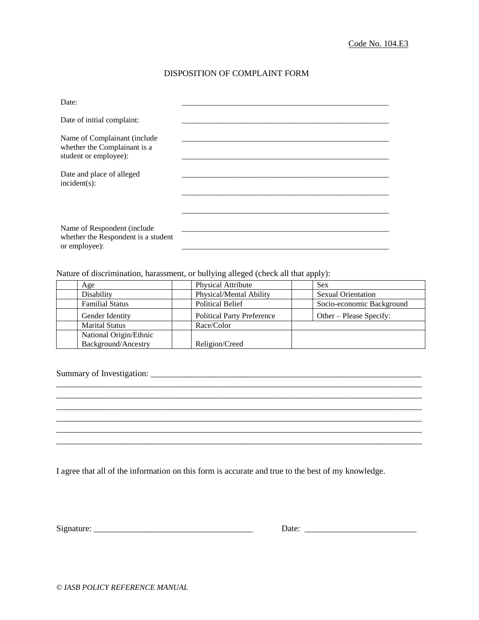# DISPOSITION OF COMPLAINT FORM

| Date:                                                                               |  |
|-------------------------------------------------------------------------------------|--|
| Date of initial complaint:                                                          |  |
| Name of Complainant (include                                                        |  |
| whether the Complainant is a<br>student or employee):                               |  |
| Date and place of alleged                                                           |  |
| $incident(s)$ :                                                                     |  |
|                                                                                     |  |
|                                                                                     |  |
| Name of Respondent (include<br>whether the Respondent is a student<br>or employee): |  |
|                                                                                     |  |

Nature of discrimination, harassment, or bullying alleged (check all that apply):

| Age                    | <b>Physical Attribute</b>         | <b>Sex</b>                |
|------------------------|-----------------------------------|---------------------------|
| Disability             | Physical/Mental Ability           | <b>Sexual Orientation</b> |
| <b>Familial Status</b> | <b>Political Belief</b>           | Socio-economic Background |
| Gender Identity        | <b>Political Party Preference</b> | Other – Please Specify:   |
| <b>Marital Status</b>  | Race/Color                        |                           |
| National Origin/Ethnic |                                   |                           |
| Background/Ancestry    | Religion/Creed                    |                           |

\_\_\_\_\_\_\_\_\_\_\_\_\_\_\_\_\_\_\_\_\_\_\_\_\_\_\_\_\_\_\_\_\_\_\_\_\_\_\_\_\_\_\_\_\_\_\_\_\_\_\_\_\_\_\_\_\_\_\_\_\_\_\_\_\_\_\_\_\_\_\_\_\_\_\_\_\_\_\_\_\_\_\_\_\_ \_\_\_\_\_\_\_\_\_\_\_\_\_\_\_\_\_\_\_\_\_\_\_\_\_\_\_\_\_\_\_\_\_\_\_\_\_\_\_\_\_\_\_\_\_\_\_\_\_\_\_\_\_\_\_\_\_\_\_\_\_\_\_\_\_\_\_\_\_\_\_\_\_\_\_\_\_\_\_\_\_\_\_\_\_ \_\_\_\_\_\_\_\_\_\_\_\_\_\_\_\_\_\_\_\_\_\_\_\_\_\_\_\_\_\_\_\_\_\_\_\_\_\_\_\_\_\_\_\_\_\_\_\_\_\_\_\_\_\_\_\_\_\_\_\_\_\_\_\_\_\_\_\_\_\_\_\_\_\_\_\_\_\_\_\_\_\_\_\_\_

\_\_\_\_\_\_\_\_\_\_\_\_\_\_\_\_\_\_\_\_\_\_\_\_\_\_\_\_\_\_\_\_\_\_\_\_\_\_\_\_\_\_\_\_\_\_\_\_\_\_\_\_\_\_\_\_\_\_\_\_\_\_\_\_\_\_\_\_\_\_\_\_\_\_\_\_\_\_\_\_\_\_\_\_\_

 $\_$ 

 $\mathcal{L}_\mathcal{L} = \{ \mathcal{L}_\mathcal{L} = \{ \mathcal{L}_\mathcal{L} = \{ \mathcal{L}_\mathcal{L} = \{ \mathcal{L}_\mathcal{L} = \{ \mathcal{L}_\mathcal{L} = \{ \mathcal{L}_\mathcal{L} = \{ \mathcal{L}_\mathcal{L} = \{ \mathcal{L}_\mathcal{L} = \{ \mathcal{L}_\mathcal{L} = \{ \mathcal{L}_\mathcal{L} = \{ \mathcal{L}_\mathcal{L} = \{ \mathcal{L}_\mathcal{L} = \{ \mathcal{L}_\mathcal{L} = \{ \mathcal{L}_\mathcal{$ 

#### Summary of Investigation: \_\_\_\_\_\_\_\_\_\_\_\_\_\_\_\_\_\_\_\_\_\_\_\_\_\_\_\_\_\_\_\_\_\_\_\_\_\_\_\_\_\_\_\_\_\_\_\_\_\_\_\_\_\_\_\_\_\_\_\_\_\_\_

I agree that all of the information on this form is accurate and true to the best of my knowledge.

| $\sim$<br>. . | ----<br>. |  |
|---------------|-----------|--|
|---------------|-----------|--|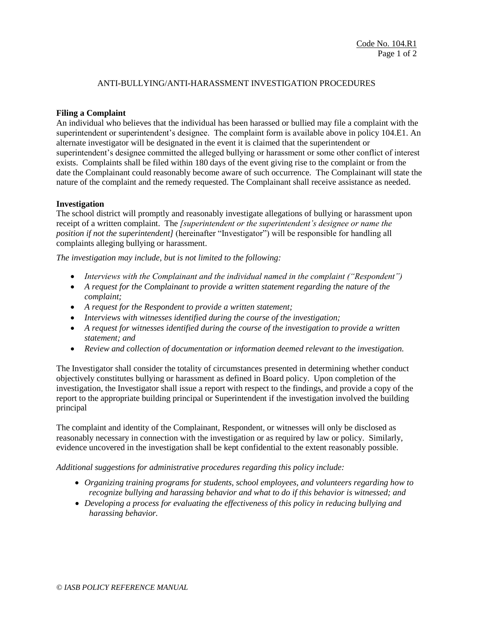## ANTI-BULLYING/ANTI-HARASSMENT INVESTIGATION PROCEDURES

## **Filing a Complaint**

An individual who believes that the individual has been harassed or bullied may file a complaint with the superintendent or superintendent's designee. The complaint form is available above in policy 104.E1. An alternate investigator will be designated in the event it is claimed that the superintendent or superintendent's designee committed the alleged bullying or harassment or some other conflict of interest exists. Complaints shall be filed within 180 days of the event giving rise to the complaint or from the date the Complainant could reasonably become aware of such occurrence*.* The Complainant will state the nature of the complaint and the remedy requested. The Complainant shall receive assistance as needed.

## **Investigation**

The school district will promptly and reasonably investigate allegations of bullying or harassment upon receipt of a written complaint. The *[superintendent or the superintendent's designee or name the position if not the superintendent]* (hereinafter "Investigator") will be responsible for handling all complaints alleging bullying or harassment.

*The investigation may include, but is not limited to the following:*

- *Interviews with the Complainant and the individual named in the complaint ("Respondent")*
- *A request for the Complainant to provide a written statement regarding the nature of the complaint;*
- *A request for the Respondent to provide a written statement;*
- *Interviews with witnesses identified during the course of the investigation;*
- *A request for witnesses identified during the course of the investigation to provide a written statement; and*
- *Review and collection of documentation or information deemed relevant to the investigation.*

The Investigator shall consider the totality of circumstances presented in determining whether conduct objectively constitutes bullying or harassment as defined in Board policy. Upon completion of the investigation, the Investigator shall issue a report with respect to the findings, and provide a copy of the report to the appropriate building principal or Superintendent if the investigation involved the building principal

The complaint and identity of the Complainant, Respondent, or witnesses will only be disclosed as reasonably necessary in connection with the investigation or as required by law or policy. Similarly, evidence uncovered in the investigation shall be kept confidential to the extent reasonably possible.

#### *Additional suggestions for administrative procedures regarding this policy include:*

- *Organizing training programs for students, school employees, and volunteers regarding how to recognize bullying and harassing behavior and what to do if this behavior is witnessed; and*
- *Developing a process for evaluating the effectiveness of this policy in reducing bullying and harassing behavior.*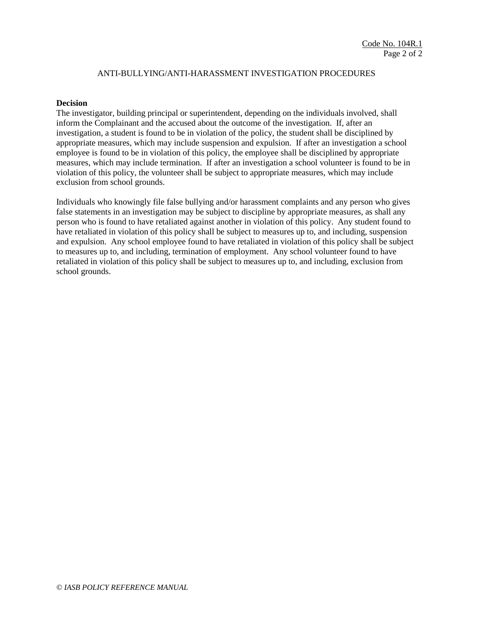## ANTI-BULLYING/ANTI-HARASSMENT INVESTIGATION PROCEDURES

### **Decision**

The investigator, building principal or superintendent, depending on the individuals involved, shall inform the Complainant and the accused about the outcome of the investigation. If, after an investigation, a student is found to be in violation of the policy, the student shall be disciplined by appropriate measures, which may include suspension and expulsion. If after an investigation a school employee is found to be in violation of this policy, the employee shall be disciplined by appropriate measures, which may include termination. If after an investigation a school volunteer is found to be in violation of this policy, the volunteer shall be subject to appropriate measures, which may include exclusion from school grounds.

Individuals who knowingly file false bullying and/or harassment complaints and any person who gives false statements in an investigation may be subject to discipline by appropriate measures, as shall any person who is found to have retaliated against another in violation of this policy. Any student found to have retaliated in violation of this policy shall be subject to measures up to, and including, suspension and expulsion. Any school employee found to have retaliated in violation of this policy shall be subject to measures up to, and including, termination of employment. Any school volunteer found to have retaliated in violation of this policy shall be subject to measures up to, and including, exclusion from school grounds.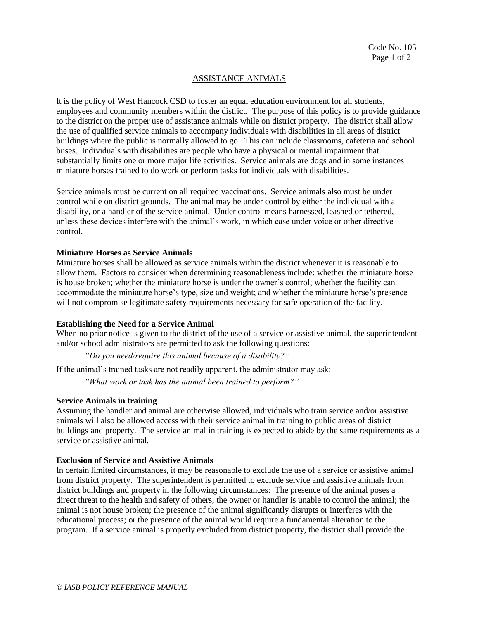## ASSISTANCE ANIMALS

It is the policy of West Hancock CSD to foster an equal education environment for all students, employees and community members within the district. The purpose of this policy is to provide guidance to the district on the proper use of assistance animals while on district property. The district shall allow the use of qualified service animals to accompany individuals with disabilities in all areas of district buildings where the public is normally allowed to go. This can include classrooms, cafeteria and school buses. Individuals with disabilities are people who have a physical or mental impairment that substantially limits one or more major life activities. Service animals are dogs and in some instances miniature horses trained to do work or perform tasks for individuals with disabilities.

Service animals must be current on all required vaccinations. Service animals also must be under control while on district grounds. The animal may be under control by either the individual with a disability, or a handler of the service animal. Under control means harnessed, leashed or tethered, unless these devices interfere with the animal's work, in which case under voice or other directive control.

### **Miniature Horses as Service Animals**

Miniature horses shall be allowed as service animals within the district whenever it is reasonable to allow them. Factors to consider when determining reasonableness include: whether the miniature horse is house broken; whether the miniature horse is under the owner's control; whether the facility can accommodate the miniature horse's type, size and weight; and whether the miniature horse's presence will not compromise legitimate safety requirements necessary for safe operation of the facility.

## **Establishing the Need for a Service Animal**

When no prior notice is given to the district of the use of a service or assistive animal, the superintendent and/or school administrators are permitted to ask the following questions:

*"Do you need/require this animal because of a disability?"* 

If the animal's trained tasks are not readily apparent, the administrator may ask:

*"What work or task has the animal been trained to perform?"*

## **Service Animals in training**

Assuming the handler and animal are otherwise allowed, individuals who train service and/or assistive animals will also be allowed access with their service animal in training to public areas of district buildings and property. The service animal in training is expected to abide by the same requirements as a service or assistive animal.

#### **Exclusion of Service and Assistive Animals**

In certain limited circumstances, it may be reasonable to exclude the use of a service or assistive animal from district property. The superintendent is permitted to exclude service and assistive animals from district buildings and property in the following circumstances: The presence of the animal poses a direct threat to the health and safety of others; the owner or handler is unable to control the animal; the animal is not house broken; the presence of the animal significantly disrupts or interferes with the educational process; or the presence of the animal would require a fundamental alteration to the program. If a service animal is properly excluded from district property, the district shall provide the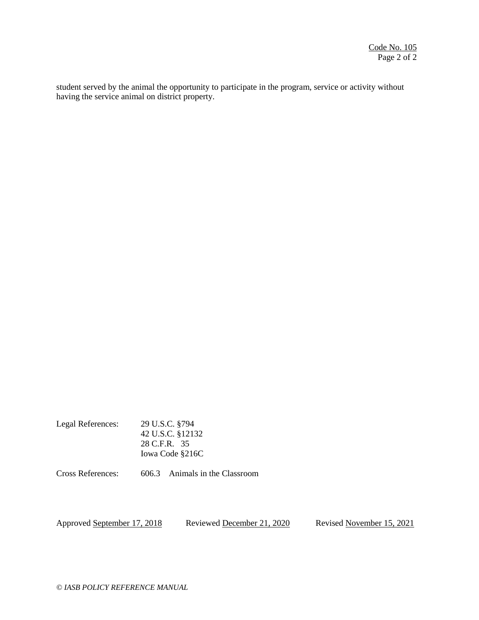student served by the animal the opportunity to participate in the program, service or activity without having the service animal on district property.

| Legal References: | 29 U.S.C. §794   |
|-------------------|------------------|
|                   | 42 U.S.C. §12132 |
|                   | 28 C.F.R. 35     |
|                   | Iowa Code §216C  |
|                   |                  |

Cross References: 606.3 Animals in the Classroom

Approved September 17, 2018 Reviewed December 21, 2020 Revised November 15, 2021